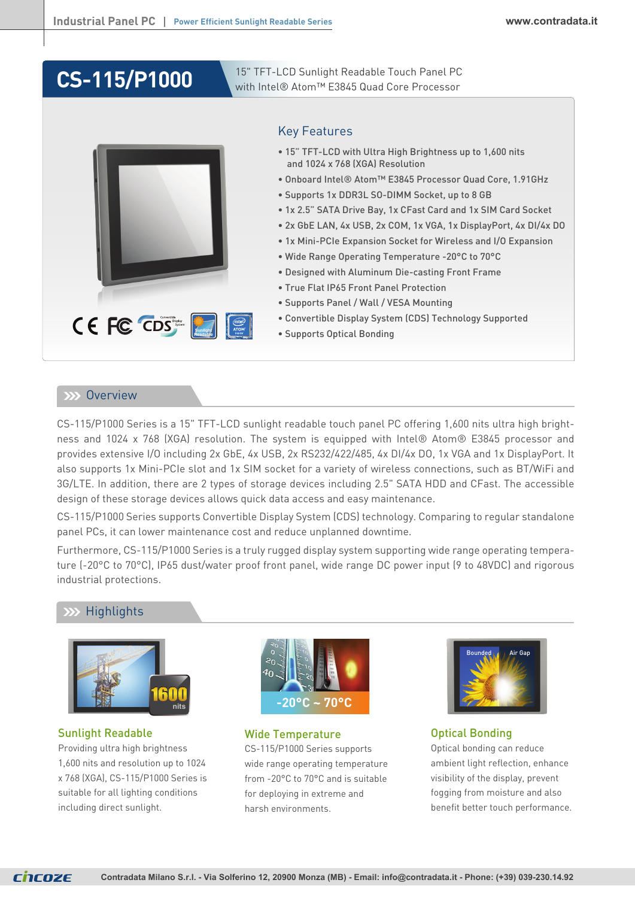# **CS-115/P1000**

15" TFT-LCD Sunlight Readable Touch Panel PC with Intel® Atom™ E3845 Quad Core Processor



# Key Features

- 15" TFT-LCD with Ultra High Brightness up to 1,600 nits and 1024 x 768 (XGA) Resolution
- Onboard Intel® Atom™ E3845 Processor Quad Core, 1.91GHz
- Supports 1x DDR3L SO-DIMM Socket, up to 8 GB
- 1x 2.5" SATA Drive Bay, 1x CFast Card and 1x SIM Card Socket
- 2x GbE LAN, 4x USB, 2x COM, 1x VGA, 1x DisplayPort, 4x DI/4x DO
- 1x Mini-PCIe Expansion Socket for Wireless and I/O Expansion
- Wide Range Operating Temperature -20°C to 70°C
- Designed with Aluminum Die-casting Front Frame
- True Flat IP65 Front Panel Protection
- Supports Panel / Wall / VESA Mounting
- Convertible Display System (CDS) Technology Supported
- Supports Optical Bonding

## **EXX Overview**

CS-115/P1000 Series is a 15" TFT-LCD sunlight readable touch panel PC offering 1,600 nits ultra high brightness and 1024 x 768 (XGA) resolution. The system is equipped with Intel® Atom® E3845 processor and provides extensive I/O including 2x GbE, 4x USB, 2x RS232/422/485, 4x DI/4x DO, 1x VGA and 1x DisplayPort. It also supports 1x Mini-PCIe slot and 1x SIM socket for a variety of wireless connections, such as BT/WiFi and 3G/LTE. In addition, there are 2 types of storage devices including 2.5" SATA HDD and CFast. The accessible design of these storage devices allows quick data access and easy maintenance.

CS-115/P1000 Series supports Convertible Display System (CDS) technology. Comparing to regular standalone panel PCs, it can lower maintenance cost and reduce unplanned downtime.

Furthermore, CS-115/P1000 Series is a truly rugged display system supporting wide range operating temperature (-20°C to 70°C), IP65 dust/water proof front panel, wide range DC power input (9 to 48VDC) and rigorous industrial protections.

# **Highlights**



Sunlight Readable Providing ultra high brightness 1,600 nits and resolution up to 1024 x 768 (XGA), CS-115/P1000 Series is suitable for all lighting conditions including direct sunlight.



Wide Temperature

CS-115/P1000 Series supports wide range operating temperature from -20°C to 70°C and is suitable for deploying in extreme and harsh environments.



# Optical Bonding

Optical bonding can reduce ambient light reflection, enhance visibility of the display, prevent fogging from moisture and also benefit better touch performance.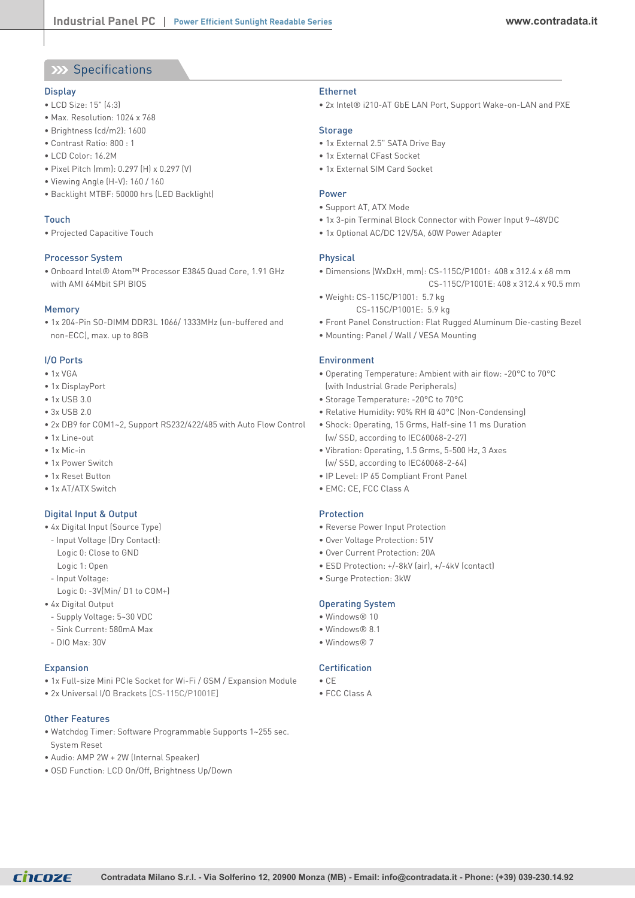# XX Specifications

#### **Display**

- LCD Size: 15" (4:3)
- Max. Resolution: 1024 x 768
- Brightness (cd/m2): 1600
- Contrast Ratio: 800 : 1
- LCD Color: 16.2M
- Pixel Pitch (mm): 0.297 (H) x 0.297 (V)
- Viewing Angle (H-V): 160 / 160
- Backlight MTBF: 50000 hrs (LED Backlight)

#### Touch

• Projected Capacitive Touch

#### Processor System

• Onboard Intel® Atom™ Processor E3845 Quad Core, 1.91 GHz with AMI 64Mbit SPI BIOS

#### Memory

• 1x 204-Pin SO-DIMM DDR3L 1066/ 1333MHz (un-buffered and non-ECC), max. up to 8GB

#### I/O Ports

- 1x VGA
- 1x DisplayPort
- 1x USB 3.0
- $3x$  USB 2.0
- 2x DB9 for COM1~2, Support RS232/422/485 with Auto Flow Control
- 1x Line-out
- 1x Mic-in
- 1x Power Switch
- 1x Reset Button
- 1x AT/ATX Switch

### Digital Input & Output

- 4x Digital Input (Source Type)
- Input Voltage (Dry Contact): Logic 0: Close to GND
- Logic 1: Open
- Input Voltage:
- Logic 0: -3V(Min/ D1 to COM+)
- 4x Digital Output
	- Supply Voltage: 5~30 VDC
	- Sink Current: 580mA Max
- $-$  DIO Max $\cdot$  30V

#### **Expansion**

- 1x Full-size Mini PCIe Socket for Wi-Fi / GSM / Expansion Module
- 2x Universal I/O Brackets [CS-115C/P1001E]

#### Other Features

- Watchdog Timer: Software Programmable Supports 1~255 sec. System Reset
- Audio: AMP 2W + 2W (Internal Speaker)
- OSD Function: LCD On/Off, Brightness Up/Down

#### Ethernet

• 2x Intel® i210-AT GbE LAN Port, Support Wake-on-LAN and PXE

#### Storage

- 1x External 2.5" SATA Drive Bay
- 1x External CFast Socket
- 1x External SIM Card Socket

#### Power

- Support AT, ATX Mode
- 1x 3-pin Terminal Block Connector with Power Input 9~48VDC
- 1x Optional AC/DC 12V/5A, 60W Power Adapter

#### Physical

- Dimensions (WxDxH, mm): CS-115C/P1001: 408 x 312.4 x 68 mm
	- CS-115C/P1001E: 408 x 312.4 x 90.5 mm
- Weight: CS-115C/P1001: 5.7 kg CS-115C/P1001E: 5.9 kg
- Front Panel Construction: Flat Rugged Aluminum Die-casting Bezel
- Mounting: Panel / Wall / VESA Mounting

#### Environment

- Operating Temperature: Ambient with air flow: -20°C to 70°C (with Industrial Grade Peripherals)
- Storage Temperature: -20°C to 70°C
- Relative Humidity: 90% RH @ 40°C (Non-Condensing)
- Shock: Operating, 15 Grms, Half-sine 11 ms Duration (w/ SSD, according to IEC60068-2-27)
- Vibration: Operating, 1.5 Grms, 5-500 Hz, 3 Axes (w/ SSD, according to IEC60068-2-64)
- IP Level: IP 65 Compliant Front Panel
- EMC: CE, FCC Class A

#### **Protection**

- Reverse Power Input Protection
- Over Voltage Protection: 51V
- Over Current Protection: 20A
- ESD Protection: +/-8kV (air), +/-4kV (contact)
- Surge Protection: 3kW

### Operating System

- Windows® 10
- Windows® 8.1
- Windows® 7

### Certification

- 
- 

- CE
- FCC Class A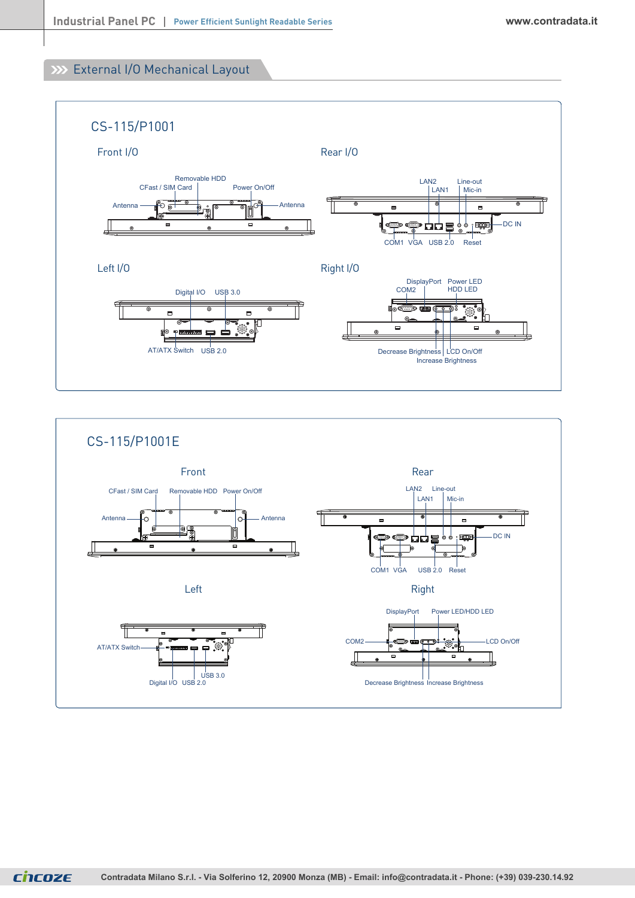# External I/O Mechanical Layout





ChCOZE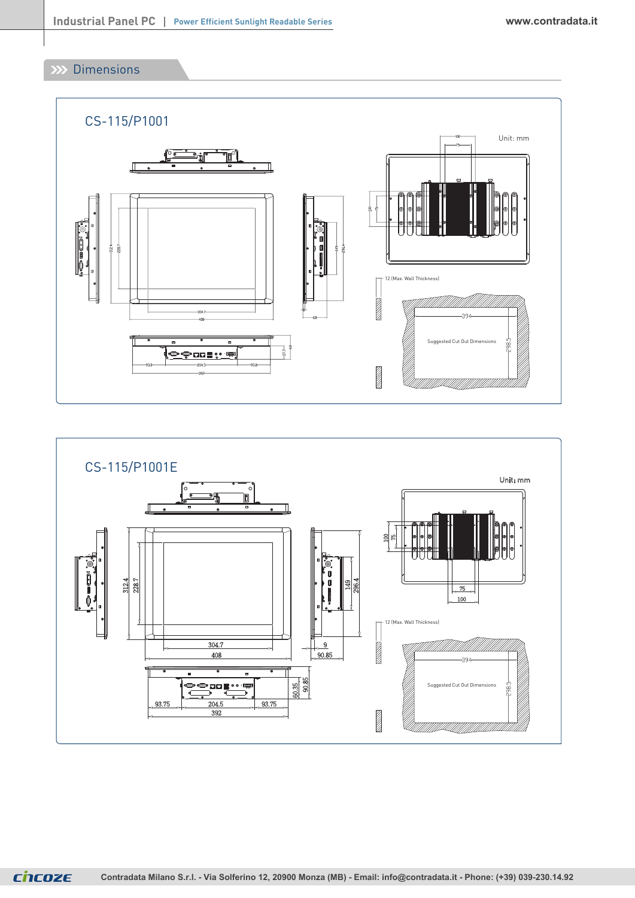**XX** Dimensions





**CNCOZE Contradata Milano S.r.l. - Via Solferino 12, 20900 Monza (MB) - Email: [info@contradata.it - P](mailto:info@contradata.it)hone: (+39) 039-230.14.92**